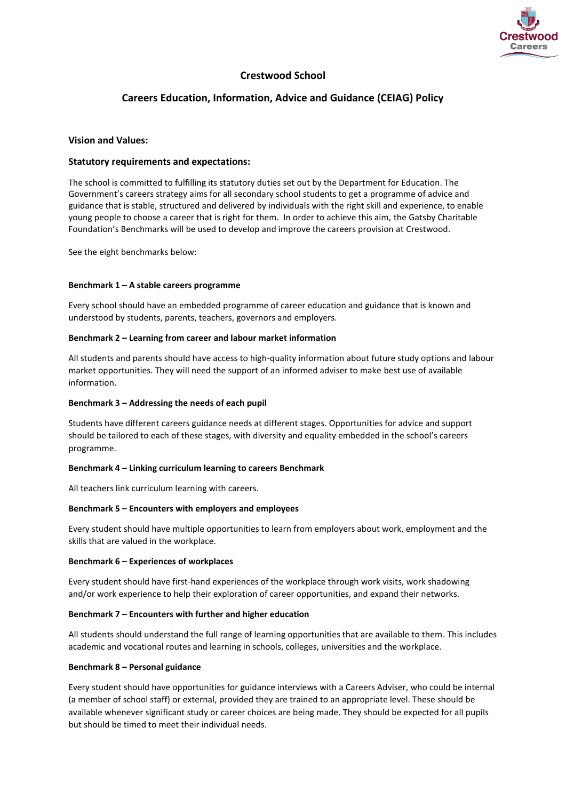

# **Crestwood School**

# **Careers Education, Information, Advice and Guidance (CEIAG) Policy**

## **Vision and Values:**

## **Statutory requirements and expectations:**

The school is committed to fulfilling its statutory duties set out by the Department for Education. The Government's careers strategy aims for all secondary school students to get a programme of advice and guidance that is stable, structured and delivered by individuals with the right skill and experience, to enable young people to choose a career that is right for them. In order to achieve this aim, the Gatsby Charitable Foundation's Benchmarks will be used to develop and improve the careers provision at Crestwood.

See the eight benchmarks below:

#### **Benchmark 1 – A stable careers programme**

Every school should have an embedded programme of career education and guidance that is known and understood by students, parents, teachers, governors and employers.

#### **Benchmark 2 – Learning from career and labour market information**

All students and parents should have access to high-quality information about future study options and labour market opportunities. They will need the support of an informed adviser to make best use of available information.

## **Benchmark 3 – Addressing the needs of each pupil**

Students have different careers guidance needs at different stages. Opportunities for advice and support should be tailored to each of these stages, with diversity and equality embedded in the school's careers programme.

## **Benchmark 4 – Linking curriculum learning to careers Benchmark**

All teachers link curriculum learning with careers.

## **Benchmark 5 – Encounters with employers and employees**

Every student should have multiple opportunities to learn from employers about work, employment and the skills that are valued in the workplace.

## **Benchmark 6 – Experiences of workplaces**

Every student should have first-hand experiences of the workplace through work visits, work shadowing and/or work experience to help their exploration of career opportunities, and expand their networks.

## **Benchmark 7 – Encounters with further and higher education**

All students should understand the full range of learning opportunities that are available to them. This includes academic and vocational routes and learning in schools, colleges, universities and the workplace.

## **Benchmark 8 – Personal guidance**

Every student should have opportunities for guidance interviews with a Careers Adviser, who could be internal (a member of school staff) or external, provided they are trained to an appropriate level. These should be available whenever significant study or career choices are being made. They should be expected for all pupils but should be timed to meet their individual needs.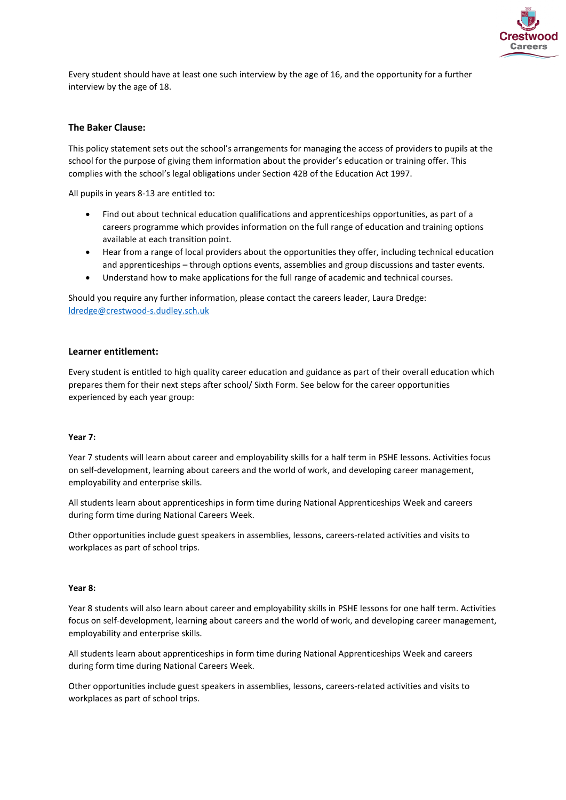

Every student should have at least one such interview by the age of 16, and the opportunity for a further interview by the age of 18.

## **The Baker Clause:**

This policy statement sets out the school's arrangements for managing the access of providers to pupils at the school for the purpose of giving them information about the provider's education or training offer. This complies with the school's legal obligations under Section 42B of the Education Act 1997.

All pupils in years 8-13 are entitled to:

- Find out about technical education qualifications and apprenticeships opportunities, as part of a careers programme which provides information on the full range of education and training options available at each transition point.
- Hear from a range of local providers about the opportunities they offer, including technical education and apprenticeships – through options events, assemblies and group discussions and taster events.
- Understand how to make applications for the full range of academic and technical courses.

Should you require any further information, please contact the careers leader, Laura Dredge: [ldredge@crestwood-s.dudley.sch.uk](mailto:ldredge@crestwood-s.dudley.sch.uk)

#### **Learner entitlement:**

Every student is entitled to high quality career education and guidance as part of their overall education which prepares them for their next steps after school/ Sixth Form. See below for the career opportunities experienced by each year group:

#### **Year 7:**

Year 7 students will learn about career and employability skills for a half term in PSHE lessons. Activities focus on self-development, learning about careers and the world of work, and developing career management, employability and enterprise skills.

All students learn about apprenticeships in form time during National Apprenticeships Week and careers during form time during National Careers Week.

Other opportunities include guest speakers in assemblies, lessons, careers-related activities and visits to workplaces as part of school trips.

#### **Year 8:**

Year 8 students will also learn about career and employability skills in PSHE lessons for one half term. Activities focus on self-development, learning about careers and the world of work, and developing career management, employability and enterprise skills.

All students learn about apprenticeships in form time during National Apprenticeships Week and careers during form time during National Careers Week.

Other opportunities include guest speakers in assemblies, lessons, careers-related activities and visits to workplaces as part of school trips.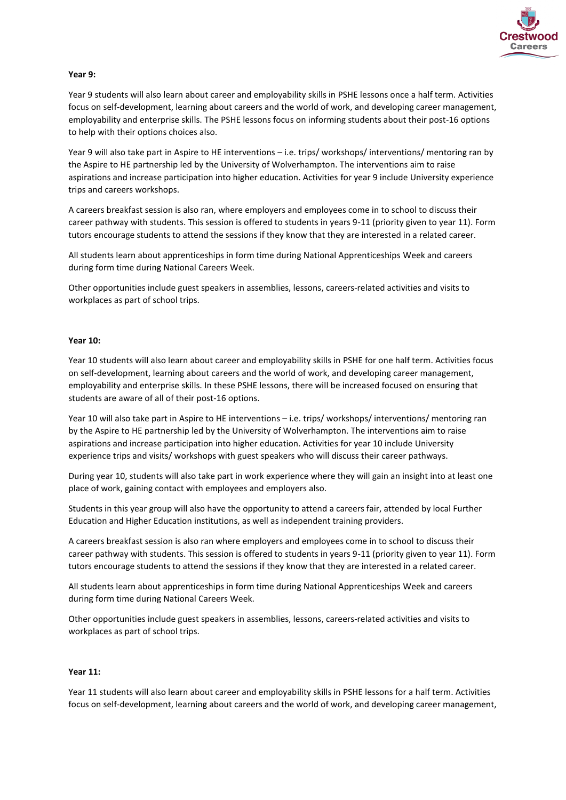

## **Year 9:**

Year 9 students will also learn about career and employability skills in PSHE lessons once a half term. Activities focus on self-development, learning about careers and the world of work, and developing career management, employability and enterprise skills. The PSHE lessons focus on informing students about their post-16 options to help with their options choices also.

Year 9 will also take part in Aspire to HE interventions – i.e. trips/ workshops/ interventions/ mentoring ran by the Aspire to HE partnership led by the University of Wolverhampton. The interventions aim to raise aspirations and increase participation into higher education. Activities for year 9 include University experience trips and careers workshops.

A careers breakfast session is also ran, where employers and employees come in to school to discuss their career pathway with students. This session is offered to students in years 9-11 (priority given to year 11). Form tutors encourage students to attend the sessions if they know that they are interested in a related career.

All students learn about apprenticeships in form time during National Apprenticeships Week and careers during form time during National Careers Week.

Other opportunities include guest speakers in assemblies, lessons, careers-related activities and visits to workplaces as part of school trips.

#### **Year 10:**

Year 10 students will also learn about career and employability skills in PSHE for one half term. Activities focus on self-development, learning about careers and the world of work, and developing career management, employability and enterprise skills. In these PSHE lessons, there will be increased focused on ensuring that students are aware of all of their post-16 options.

Year 10 will also take part in Aspire to HE interventions – i.e. trips/ workshops/ interventions/ mentoring ran by the Aspire to HE partnership led by the University of Wolverhampton. The interventions aim to raise aspirations and increase participation into higher education. Activities for year 10 include University experience trips and visits/ workshops with guest speakers who will discuss their career pathways.

During year 10, students will also take part in work experience where they will gain an insight into at least one place of work, gaining contact with employees and employers also.

Students in this year group will also have the opportunity to attend a careers fair, attended by local Further Education and Higher Education institutions, as well as independent training providers.

A careers breakfast session is also ran where employers and employees come in to school to discuss their career pathway with students. This session is offered to students in years 9-11 (priority given to year 11). Form tutors encourage students to attend the sessions if they know that they are interested in a related career.

All students learn about apprenticeships in form time during National Apprenticeships Week and careers during form time during National Careers Week.

Other opportunities include guest speakers in assemblies, lessons, careers-related activities and visits to workplaces as part of school trips.

#### **Year 11:**

Year 11 students will also learn about career and employability skills in PSHE lessons for a half term. Activities focus on self-development, learning about careers and the world of work, and developing career management,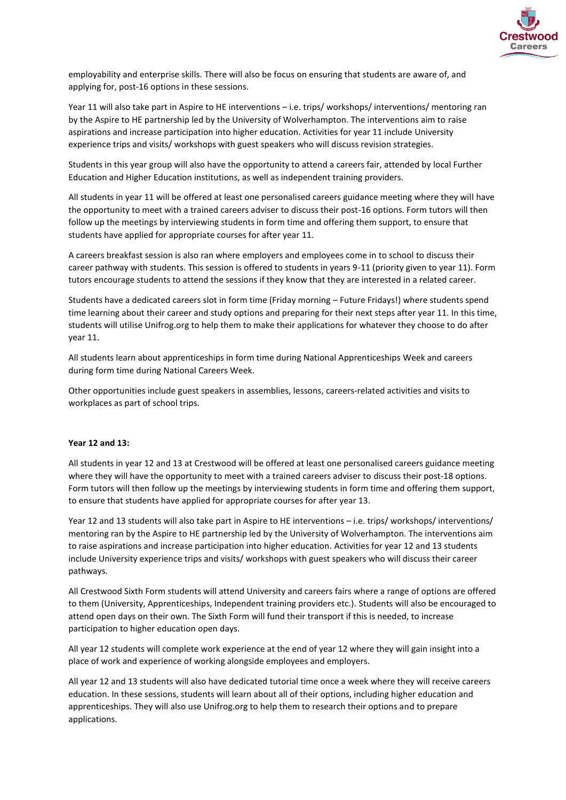

employability and enterprise skills. There will also be focus on ensuring that students are aware of, and applying for, post-16 options in these sessions.

Year 11 will also take part in Aspire to HE interventions – i.e. trips/ workshops/ interventions/ mentoring ran by the Aspire to HE partnership led by the University of Wolverhampton. The interventions aim to raise aspirations and increase participation into higher education. Activities for year 11 include University experience trips and visits/ workshops with guest speakers who will discuss revision strategies.

Students in this year group will also have the opportunity to attend a careers fair, attended by local Further Education and Higher Education institutions, as well as independent training providers.

All students in year 11 will be offered at least one personalised careers guidance meeting where they will have the opportunity to meet with a trained careers adviser to discuss their post-16 options. Form tutors will then follow up the meetings by interviewing students in form time and offering them support, to ensure that students have applied for appropriate courses for after year 11.

A careers breakfast session is also ran where employers and employees come in to school to discuss their career pathway with students. This session is offered to students in years 9-11 (priority given to year 11). Form tutors encourage students to attend the sessions if they know that they are interested in a related career.

Students have a dedicated careers slot in form time (Friday morning – Future Fridays!) where students spend time learning about their career and study options and preparing for their next steps after year 11. In this time, students will utilise Unifrog.org to help them to make their applications for whatever they choose to do after year 11.

All students learn about apprenticeships in form time during National Apprenticeships Week and careers during form time during National Careers Week.

Other opportunities include guest speakers in assemblies, lessons, careers-related activities and visits to workplaces as part of school trips.

#### **Year 12 and 13:**

All students in year 12 and 13 at Crestwood will be offered at least one personalised careers guidance meeting where they will have the opportunity to meet with a trained careers adviser to discuss their post-18 options. Form tutors will then follow up the meetings by interviewing students in form time and offering them support, to ensure that students have applied for appropriate courses for after year 13.

Year 12 and 13 students will also take part in Aspire to HE interventions – i.e. trips/ workshops/ interventions/ mentoring ran by the Aspire to HE partnership led by the University of Wolverhampton. The interventions aim to raise aspirations and increase participation into higher education. Activities for year 12 and 13 students include University experience trips and visits/ workshops with guest speakers who will discuss their career pathways.

All Crestwood Sixth Form students will attend University and careers fairs where a range of options are offered to them (University, Apprenticeships, Independent training providers etc.). Students will also be encouraged to attend open days on their own. The Sixth Form will fund their transport if this is needed, to increase participation to higher education open days.

All year 12 students will complete work experience at the end of year 12 where they will gain insight into a place of work and experience of working alongside employees and employers.

All year 12 and 13 students will also have dedicated tutorial time once a week where they will receive careers education. In these sessions, students will learn about all of their options, including higher education and apprenticeships. They will also use Unifrog.org to help them to research their options and to prepare applications.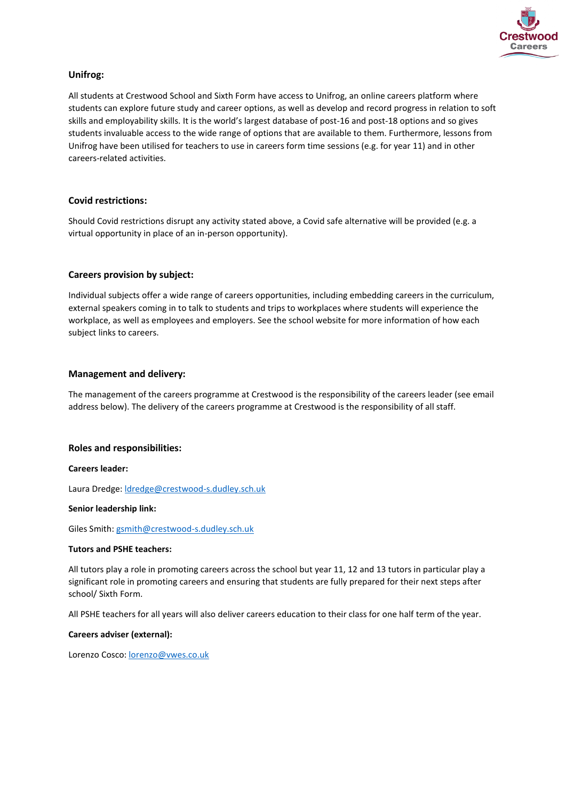

## **Unifrog:**

All students at Crestwood School and Sixth Form have access to Unifrog, an online careers platform where students can explore future study and career options, as well as develop and record progress in relation to soft skills and employability skills. It is the world's largest database of post-16 and post-18 options and so gives students invaluable access to the wide range of options that are available to them. Furthermore, lessons from Unifrog have been utilised for teachers to use in careers form time sessions (e.g. for year 11) and in other careers-related activities.

## **Covid restrictions:**

Should Covid restrictions disrupt any activity stated above, a Covid safe alternative will be provided (e.g. a virtual opportunity in place of an in-person opportunity).

## **Careers provision by subject:**

Individual subjects offer a wide range of careers opportunities, including embedding careers in the curriculum, external speakers coming in to talk to students and trips to workplaces where students will experience the workplace, as well as employees and employers. See the school website for more information of how each subject links to careers.

## **Management and delivery:**

The management of the careers programme at Crestwood is the responsibility of the careers leader (see email address below). The delivery of the careers programme at Crestwood is the responsibility of all staff.

## **Roles and responsibilities:**

## **Careers leader:**

Laura Dredge: [ldredge@crestwood-s.dudley.sch.uk](mailto:ldredge@crestwood-s.dudley.sch.uk)

## **Senior leadership link:**

Giles Smith[: gsmith@crestwood-s.dudley.sch.uk](mailto:gsmith@crestwood-s.dudley.sch.uk)

## **Tutors and PSHE teachers:**

All tutors play a role in promoting careers across the school but year 11, 12 and 13 tutors in particular play a significant role in promoting careers and ensuring that students are fully prepared for their next steps after school/ Sixth Form.

All PSHE teachers for all years will also deliver careers education to their class for one half term of the year.

## **Careers adviser (external):**

Lorenzo Cosco[: lorenzo@vwes.co.uk](mailto:lorenzo@vwes.co.uk)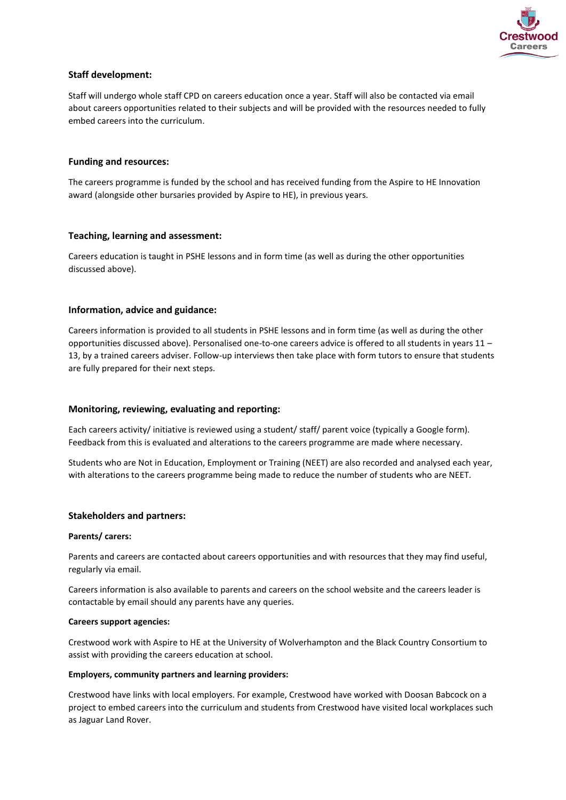

## **Staff development:**

Staff will undergo whole staff CPD on careers education once a year. Staff will also be contacted via email about careers opportunities related to their subjects and will be provided with the resources needed to fully embed careers into the curriculum.

## **Funding and resources:**

The careers programme is funded by the school and has received funding from the Aspire to HE Innovation award (alongside other bursaries provided by Aspire to HE), in previous years.

## **Teaching, learning and assessment:**

Careers education is taught in PSHE lessons and in form time (as well as during the other opportunities discussed above).

## **Information, advice and guidance:**

Careers information is provided to all students in PSHE lessons and in form time (as well as during the other opportunities discussed above). Personalised one-to-one careers advice is offered to all students in years 11 – 13, by a trained careers adviser. Follow-up interviews then take place with form tutors to ensure that students are fully prepared for their next steps.

## **Monitoring, reviewing, evaluating and reporting:**

Each careers activity/ initiative is reviewed using a student/ staff/ parent voice (typically a Google form). Feedback from this is evaluated and alterations to the careers programme are made where necessary.

Students who are Not in Education, Employment or Training (NEET) are also recorded and analysed each year, with alterations to the careers programme being made to reduce the number of students who are NEET.

## **Stakeholders and partners:**

## **Parents/ carers:**

Parents and careers are contacted about careers opportunities and with resources that they may find useful, regularly via email.

Careers information is also available to parents and careers on the school website and the careers leader is contactable by email should any parents have any queries.

## **Careers support agencies:**

Crestwood work with Aspire to HE at the University of Wolverhampton and the Black Country Consortium to assist with providing the careers education at school.

## **Employers, community partners and learning providers:**

Crestwood have links with local employers. For example, Crestwood have worked with Doosan Babcock on a project to embed careers into the curriculum and students from Crestwood have visited local workplaces such as Jaguar Land Rover.